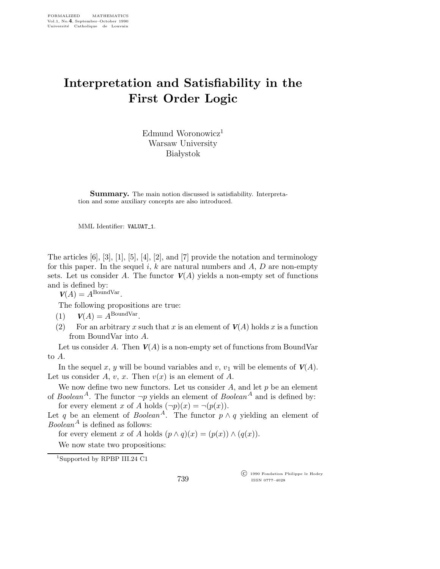## Interpretation and Satisfiability in the First Order Logic

Edmund Woronowicz<sup>1</sup> Warsaw University **Białystok** 

Summary. The main notion discussed is satisfiability. Interpretation and some auxiliary concepts are also introduced.

MML Identifier: VALUAT\_1.

The articles  $[6]$ ,  $[3]$ ,  $[1]$ ,  $[5]$ ,  $[4]$ ,  $[2]$ , and  $[7]$  provide the notation and terminology for this paper. In the sequel i, k are natural numbers and  $A, D$  are non-empty sets. Let us consider A. The functor  $V(A)$  yields a non-empty set of functions and is defined by:

 $V(A) = A^{\text{BoundVar}}.$ 

The following propositions are true:

(2) For an arbitrary x such that x is an element of  $V(A)$  holds x is a function from BoundVar into A.

Let us consider A. Then  $V(A)$  is a non-empty set of functions from BoundVar to A.

In the sequel x, y will be bound variables and v,  $v_1$  will be elements of  $V(A)$ . Let us consider A, v, x. Then  $v(x)$  is an element of A.

We now define two new functors. Let us consider  $A$ , and let  $p$  be an element of Boolean<sup>A</sup>. The functor  $\neg p$  yields an element of Boolean<sup>A</sup> and is defined by:

for every element x of A holds  $(\neg p)(x) = \neg(p(x))$ .

Let q be an element of  $Boolean^A$ . The functor  $p \wedge q$  yielding an element of *Boolean*<sup>A</sup> is defined as follows:

for every element x of A holds  $(p \wedge q)(x) = (p(x)) \wedge (q(x)).$ 

We now state two propositions:

<sup>1</sup>Supported by RPBP III.24 C1

 c 1990 Fondation Philippe le Hodey ISSN 0777–4028

<sup>(1)</sup>  $V(A) = A^{\text{BoundVar}}$ .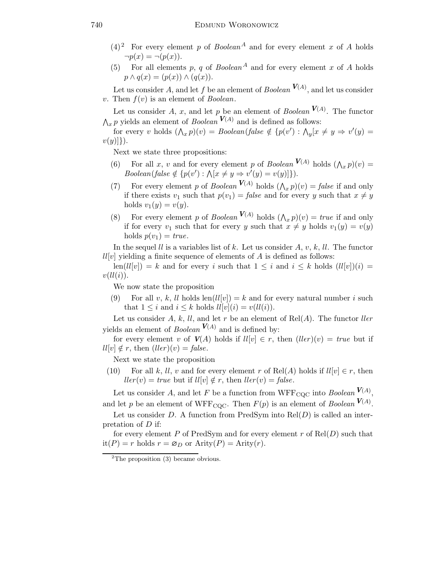- $(4)^2$  For every element p of Boolean<sup>A</sup> and for every element x of A holds  $\neg p(x) = \neg (p(x)).$
- (5) For all elements p, q of  $Boolean<sup>A</sup>$  and for every element x of A holds  $p \wedge q(x) = (p(x)) \wedge (q(x)).$

Let us consider A, and let f be an element of  $Boolean^{V(A)}$ , and let us consider v. Then  $f(v)$  is an element of *Boolean*.

Let us consider A, x, and let p be an element of  $Boolean^{V(A)}$ . The functor  $\bigwedge_{x} p$  yields an element of *Boolean*  $V(A)$  and is defined as follows:

for every v holds  $(\bigwedge_x p)(v) = Boolean(false \notin \{p(v') : \bigwedge_y [x \neq y \Rightarrow v'(y) =$  $v(y)]\}.$ 

Next we state three propositions:

- (6) For all x, v and for every element p of Boolean  $V(A)$  holds  $(\bigwedge_x p)(v) =$  $Boolean(false \notin \{p(v') : \bigwedge [x \neq y \Rightarrow v'(y) = v(y)]\}).$
- (7) For every element p of Boolean  $V(A)$  holds  $(\bigwedge_x p)(v) = false$  if and only if there exists  $v_1$  such that  $p(v_1) = false$  and for every y such that  $x \neq y$ holds  $v_1(y) = v(y)$ .
- (8) For every element p of Boolean  $V(A)$  holds  $(\bigwedge_x p)(v) = true$  if and only if for every  $v_1$  such that for every y such that  $x \neq y$  holds  $v_1(y) = v(y)$ holds  $p(v_1) = true$ .

In the sequel *ll* is a variables list of k. Let us consider  $A, v, k, ll$ . The functor  $ll[v]$  yielding a finite sequence of elements of A is defined as follows:

 $\text{len}(ll[v]) = k$  and for every i such that  $1 \leq i$  and  $i \leq k$  holds  $(ll[v])(i) =$  $v(ll(i)).$ 

We now state the proposition

(9) For all v, k, ll holds  $len(ll[v]) = k$  and for every natural number i such that  $1 \leq i$  and  $i \leq k$  holds  $ll[v](i) = v(ll(i)).$ 

Let us consider A, k, ll, and let r be an element of  $Rel(A)$ . The functor  $ller$ yields an element of *Boolean*  $V(A)$  and is defined by:

for every element v of  $V(A)$  holds if  $ll[v] \in r$ , then  $(l\ell\varepsilon r)(v) = \ell \tau u e$  but if  $ll[v] \notin r$ , then  $(ller)(v) = false$ .

Next we state the proposition

(10) For all k, ll, v and for every element r of Rel(A) holds if  $ll[v] \in r$ , then  $ll\epsilon r(v) = true$  but if  $ll[v] \notin r$ , then  $ll\epsilon r(v) = false$ .

Let us consider A, and let F be a function from  $WFF_{\text{CQC}}$  into  $Boolean^{V(A)}$ , and let p be an element of WFF<sub>CQC</sub>. Then  $F(p)$  is an element of *Boolean*  $V(A)$ .

Let us consider D. A function from  $PredSym$  into  $Rel(D)$  is called an interpretation of D if:

for every element P of PredSym and for every element r of  $Rel(D)$  such that  $it(P) = r$  holds  $r = \varnothing_D$  or  $Arity(P) = Arity(r)$ .

 ${}^{2}$ The proposition (3) became obvious.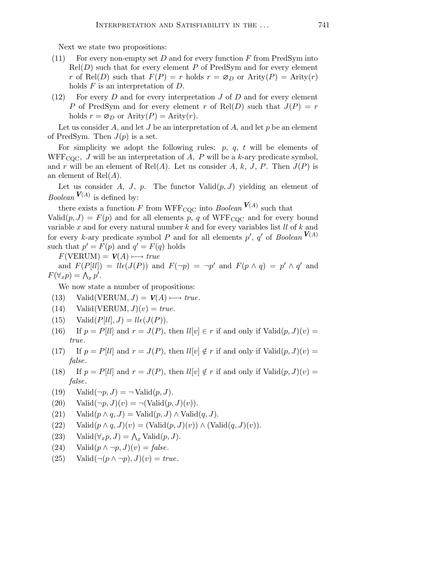Next we state two propositions:

- (11) For every non-empty set D and for every function  $F$  from PredSym into  $Rel(D)$  such that for every element P of PredSym and for every element r of Rel(D) such that  $F(P) = r$  holds  $r = \varnothing_D$  or  $\text{Arity}(P) = \text{Arity}(r)$ holds  $F$  is an interpretation of  $D$ .
- (12) For every  $D$  and for every interpretation  $J$  of  $D$  and for every element P of PredSym and for every element r of Rel(D) such that  $J(P) = r$ holds  $r = \varnothing_D$  or  $\text{Arity}(P) = \text{Arity}(r)$ .

Let us consider A, and let J be an interpretation of A, and let  $p$  be an element of PredSym. Then  $J(p)$  is a set.

For simplicity we adopt the following rules:  $p, q, t$  will be elements of WFF<sub>COC</sub>, J will be an interpretation of A, P will be a k-ary predicate symbol, and r will be an element of Rel(A). Let us consider A, k, J, P. Then  $J(P)$  is an element of  $Rel(A)$ .

Let us consider A, J, p. The functor  $Valid(p, J)$  yielding an element of *Boolean*  $V(A)$  is defined by:

there exists a function F from WFF<sub>CQC</sub> into *Boolean*  $V(A)$  such that Valid $(p, J) = F(p)$  and for all elements p, q of WFF<sub>COC</sub> and for every bound variable x and for every natural number  $k$  and for every variables list  $ll$  of  $k$  and for every k-ary predicate symbol P and for all elements  $p'$ ,  $q'$  of Boolean  $V(A)$ such that  $p' = F(p)$  and  $q' = F(q)$  holds

 $F(VERUM) = V(A) \longmapsto true$ 

and  $F(P[li]) = li\epsilon(J(P))$  and  $F(\neg p) = \neg p'$  and  $F(p \wedge q) = p' \wedge q'$  and  $F(\forall_x p) = \Lambda_x p'.$ 

We now state a number of propositions:

- (13) Valid(VERUM,  $J$ ) =  $V(A) \rightarrow true$ .
- (14) Valid(VERUM,  $J(v) = true$ .
- (15) Valid $(P[ll], J) = l l \epsilon (J(P)).$
- (16) If  $p = P[1]$  and  $r = J(P)$ , then  $lI[v] \in r$  if and only if  $\text{Valid}(p, J)(v) =$ true.
- (17) If  $p = P[1]$  and  $r = J(P)$ , then  $lI[v] \notin r$  if and only if  $\text{Valid}(p, J)(v) =$ false.
- (18) If  $p = P[1]$  and  $r = J(P)$ , then  $lI[v] \notin r$  if and only if  $\text{Valid}(p, J)(v) =$ false.
- (19) Valid $(\neg p, J) = \neg$ Valid $(p, J)$ .
- (20) Valid $(\neg p, J)(v) = \neg(\text{Valid}(p, J)(v)).$
- (21) Valid $(p \wedge q, J) =$  Valid $(p, J) \wedge$  Valid $(q, J)$ .
- (22) Valid $(p \wedge q, J)(v) = (Valid(p, J)(v)) \wedge (Valid(q, J)(v)).$
- (23) Valid $(\forall_x p, J) = \bigwedge_x \text{Valid}(p, J).$
- (24) Valid $(p \wedge \neg p, J)(v) = \text{false}.$
- (25) Valid $(\neg (p \land \neg p), J)(v) = true.$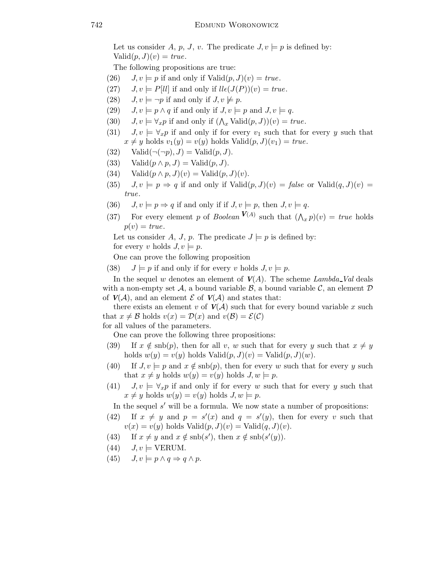Let us consider A, p, J, v. The predicate  $J, v \models p$  is defined by:  $\text{Valid}(p, J)(v) = \text{true}.$ 

The following propositions are true:

- (26)  $J, v \models p$  if and only if  $\text{Valid}(p, J)(v) = true$ .
- (27)  $J, v \models P[ll]$  if and only if  $lle(J(P))(v) = true$ .
- (28)  $J, v \models \neg p$  if and only if  $J, v \not\models p$ .
- (29)  $J, v \models p \land q$  if and only if  $J, v \models p$  and  $J, v \models q$ .
- (30)  $J, v \models \forall_x p$  if and only if  $(\bigwedge_x \text{Valid}(p, J))(v) = true$ .
- (31)  $J, v \models \forall_x p$  if and only if for every  $v_1$  such that for every y such that  $x \neq y$  holds  $v_1(y) = v(y)$  holds Valid $(p, J)(v_1) = true$ .
- (32) Valid $(\neg(\neg p), J) = \text{Valid}(p, J)$ .
- (33) Valid $(p \wedge p, J) =$ Valid $(p, J)$ .
- (34) Valid $(p \wedge p, J)(v) = \text{Valid}(p, J)(v)$ .
- (35)  $J, v \models p \Rightarrow q$  if and only if  $\text{Valid}(p, J)(v) = \text{false}$  or  $\text{Valid}(q, J)(v) =$ true.
- (36)  $J, v \models p \Rightarrow q$  if and only if if  $J, v \models p$ , then  $J, v \models q$ .
- (37) For every element p of Boolean  $V(A)$  such that  $(\bigwedge_x p)(v) = true$  holds  $p(v) = true.$

Let us consider A, J, p. The predicate  $J \models p$  is defined by: for every v holds  $J, v \models p$ .

One can prove the following proposition

(38)  $J \models p$  if and only if for every v holds  $J, v \models p$ .

In the sequel w denotes an element of  $V(A)$ . The scheme Lambda Val deals with a non-empty set A, a bound variable  $\mathcal{B}$ , a bound variable C, an element D of  $V(\mathcal{A})$ , and an element  $\mathcal E$  of  $V(\mathcal{A})$  and states that:

there exists an element v of  $V(\mathcal{A})$  such that for every bound variable x such that  $x \neq \mathcal{B}$  holds  $v(x) = \mathcal{D}(x)$  and  $v(\mathcal{B}) = \mathcal{E}(\mathcal{C})$ 

for all values of the parameters.

One can prove the following three propositions:

- (39) If  $x \notin \text{snb}(p)$ , then for all v, w such that for every y such that  $x \neq y$ holds  $w(y) = v(y)$  holds  $\text{Valid}(p, J)(v) = \text{Valid}(p, J)(w)$ .
- (40) If  $J, v \models p$  and  $x \notin \text{snb}(p)$ , then for every w such that for every y such that  $x \neq y$  holds  $w(y) = v(y)$  holds  $J, w \models p$ .
- (41)  $J, v \models \forall_x p$  if and only if for every w such that for every y such that  $x \neq y$  holds  $w(y) = v(y)$  holds  $J, w \models p$ .

In the sequel s' will be a formula. We now state a number of propositions:

- (42) If  $x \neq y$  and  $p = s'(x)$  and  $q = s'(y)$ , then for every v such that  $v(x) = v(y)$  holds Valid $(p, J)(v) =$ Valid $(q, J)(v)$ .
- (43) If  $x \neq y$  and  $x \notin \text{snb}(s')$ , then  $x \notin \text{snb}(s'(y))$ .
- $(44)$   $J, v \models \text{VERUM}.$
- (45)  $J, v \models p \land q \Rightarrow q \land p$ .